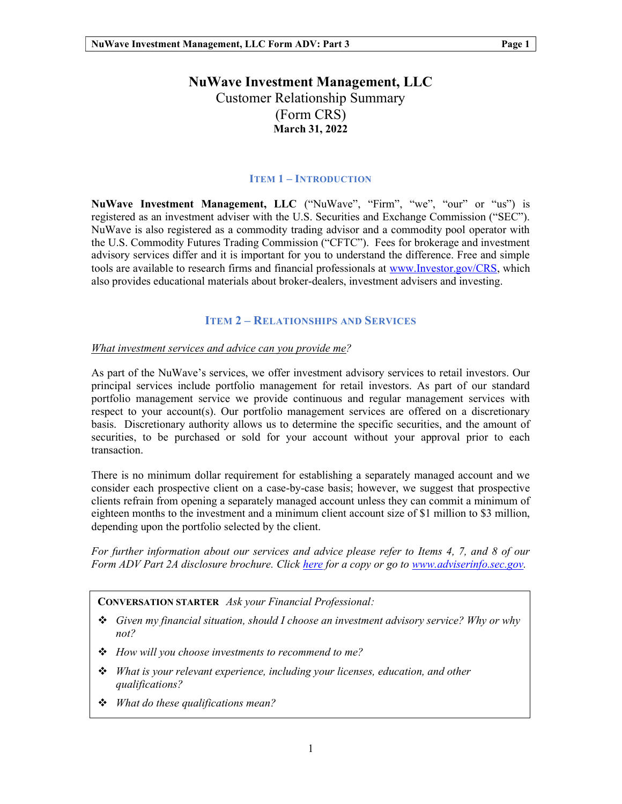# NuWave Investment Management, LLC Customer Relationship Summary (Form CRS) March 31, 2022

#### ITEM 1 – INTRODUCTION

NuWave Investment Management, LLC ("NuWave", "Firm", "we", "our" or "us") is registered as an investment adviser with the U.S. Securities and Exchange Commission ("SEC"). NuWave is also registered as a commodity trading advisor and a commodity pool operator with the U.S. Commodity Futures Trading Commission ("CFTC"). Fees for brokerage and investment advisory services differ and it is important for you to understand the difference. Free and simple tools are available to research firms and financial professionals at www.Investor.gov/CRS, which also provides educational materials about broker-dealers, investment advisers and investing.

### ITEM 2 – RELATIONSHIPS AND SERVICES

#### What investment services and advice can you provide me?

As part of the NuWave's services, we offer investment advisory services to retail investors. Our principal services include portfolio management for retail investors. As part of our standard portfolio management service we provide continuous and regular management services with respect to your account(s). Our portfolio management services are offered on a discretionary basis. Discretionary authority allows us to determine the specific securities, and the amount of securities, to be purchased or sold for your account without your approval prior to each transaction.

There is no minimum dollar requirement for establishing a separately managed account and we consider each prospective client on a case-by-case basis; however, we suggest that prospective clients refrain from opening a separately managed account unless they can commit a minimum of eighteen months to the investment and a minimum client account size of \$1 million to \$3 million, depending upon the portfolio selected by the client.

For further information about our services and advice please refer to Items 4, 7, and 8 of our Form ADV Part 2A disclosure brochure. Click here for a copy or go to www.adviserinfo.sec.gov.

CONVERSATION STARTER Ask your Financial Professional:

- $\div$  Given my financial situation, should I choose an investment advisory service? Why or why not?
- $\div$  How will you choose investments to recommend to me?
- What is your relevant experience, including your licenses, education, and other qualifications?
- $\div$  What do these qualifications mean?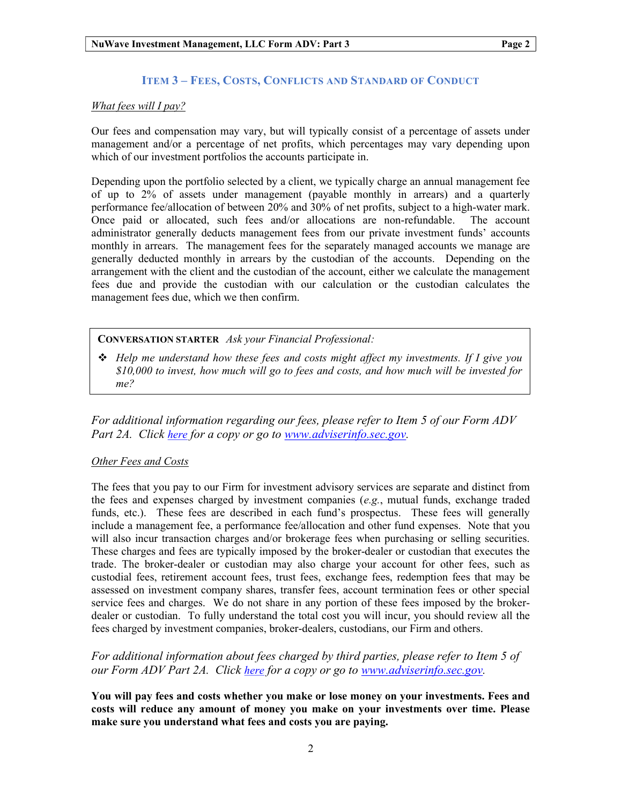### ITEM 3 – FEES, COSTS, CONFLICTS AND STANDARD OF CONDUCT

#### What fees will I pay?

Our fees and compensation may vary, but will typically consist of a percentage of assets under management and/or a percentage of net profits, which percentages may vary depending upon which of our investment portfolios the accounts participate in.

Depending upon the portfolio selected by a client, we typically charge an annual management fee of up to 2% of assets under management (payable monthly in arrears) and a quarterly performance fee/allocation of between 20% and 30% of net profits, subject to a high-water mark. Once paid or allocated, such fees and/or allocations are non-refundable. The account administrator generally deducts management fees from our private investment funds' accounts monthly in arrears. The management fees for the separately managed accounts we manage are generally deducted monthly in arrears by the custodian of the accounts. Depending on the arrangement with the client and the custodian of the account, either we calculate the management fees due and provide the custodian with our calculation or the custodian calculates the management fees due, which we then confirm.

CONVERSATION STARTER Ask your Financial Professional:

 $\div$  Help me understand how these fees and costs might affect my investments. If I give you \$10,000 to invest, how much will go to fees and costs, and how much will be invested for me?

For additional information regarding our fees, please refer to Item 5 of our Form ADV Part 2A. Click here for a copy or go to www.adviserinfo.sec.gov.

#### Other Fees and Costs

The fees that you pay to our Firm for investment advisory services are separate and distinct from the fees and expenses charged by investment companies  $(e.g.,$  mutual funds, exchange traded funds, etc.). These fees are described in each fund's prospectus. These fees will generally include a management fee, a performance fee/allocation and other fund expenses. Note that you will also incur transaction charges and/or brokerage fees when purchasing or selling securities. These charges and fees are typically imposed by the broker-dealer or custodian that executes the trade. The broker-dealer or custodian may also charge your account for other fees, such as custodial fees, retirement account fees, trust fees, exchange fees, redemption fees that may be assessed on investment company shares, transfer fees, account termination fees or other special service fees and charges. We do not share in any portion of these fees imposed by the brokerdealer or custodian. To fully understand the total cost you will incur, you should review all the fees charged by investment companies, broker-dealers, custodians, our Firm and others.

For additional information about fees charged by third parties, please refer to Item 5 of our Form ADV Part 2A. Click here for a copy or go to www.adviserinfo.sec.gov.

You will pay fees and costs whether you make or lose money on your investments. Fees and costs will reduce any amount of money you make on your investments over time. Please make sure you understand what fees and costs you are paying.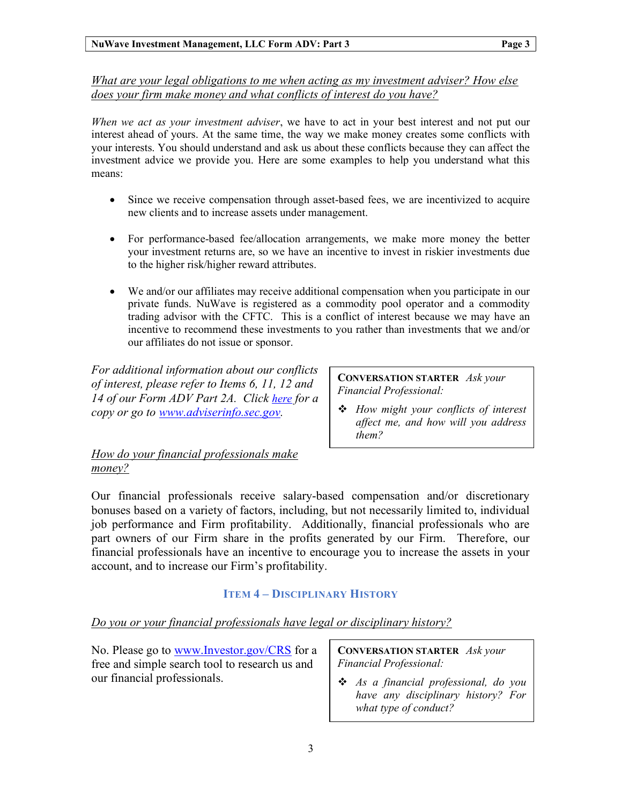What are your legal obligations to me when acting as my investment adviser? How else does your firm make money and what conflicts of interest do you have?

When we act as your investment adviser, we have to act in your best interest and not put our interest ahead of yours. At the same time, the way we make money creates some conflicts with your interests. You should understand and ask us about these conflicts because they can affect the investment advice we provide you. Here are some examples to help you understand what this means:

- Since we receive compensation through asset-based fees, we are incentivized to acquire new clients and to increase assets under management.
- For performance-based fee/allocation arrangements, we make more money the better your investment returns are, so we have an incentive to invest in riskier investments due to the higher risk/higher reward attributes.
- We and/or our affiliates may receive additional compensation when you participate in our private funds. NuWave is registered as a commodity pool operator and a commodity trading advisor with the CFTC. This is a conflict of interest because we may have an incentive to recommend these investments to you rather than investments that we and/or our affiliates do not issue or sponsor.

For additional information about our conflicts of interest, please refer to Items 6, 11, 12 and 14 of our Form ADV Part 2A. Click here for a copy or go to www.adviserinfo.sec.gov.

CONVERSATION STARTER Ask your Financial Professional:

 $\triangleleft$  How might your conflicts of interest affect me, and how will you address them?

## How do your financial professionals make money?

Our financial professionals receive salary-based compensation and/or discretionary bonuses based on a variety of factors, including, but not necessarily limited to, individual job performance and Firm profitability. Additionally, financial professionals who are part owners of our Firm share in the profits generated by our Firm. Therefore, our financial professionals have an incentive to encourage you to increase the assets in your account, and to increase our Firm's profitability.

## ITEM 4 – DISCIPLINARY HISTORY

## Do you or your financial professionals have legal or disciplinary history?

No. Please go to www.Investor.gov/CRS for a free and simple search tool to research us and our financial professionals.

CONVERSATION STARTER Ask your Financial Professional:

**❖** As a financial professional, do you have any disciplinary history? For what type of conduct?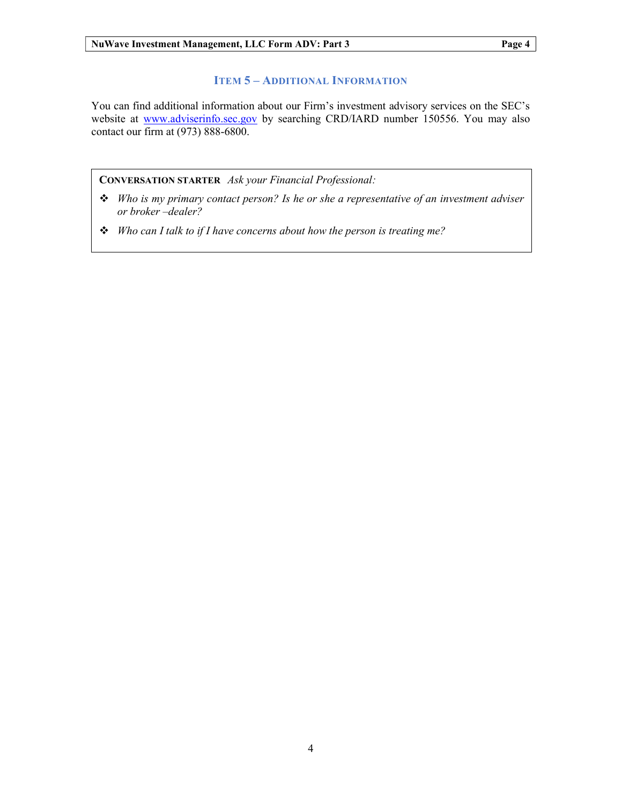## ITEM 5 – ADDITIONAL INFORMATION

You can find additional information about our Firm's investment advisory services on the SEC's website at www.adviserinfo.sec.gov by searching CRD/IARD number 150556. You may also contact our firm at (973) 888-6800.

CONVERSATION STARTER Ask your Financial Professional:

- $\triangleq$  Who is my primary contact person? Is he or she a representative of an investment adviser or broker –dealer?
- $\cdot \cdot$  Who can I talk to if I have concerns about how the person is treating me?